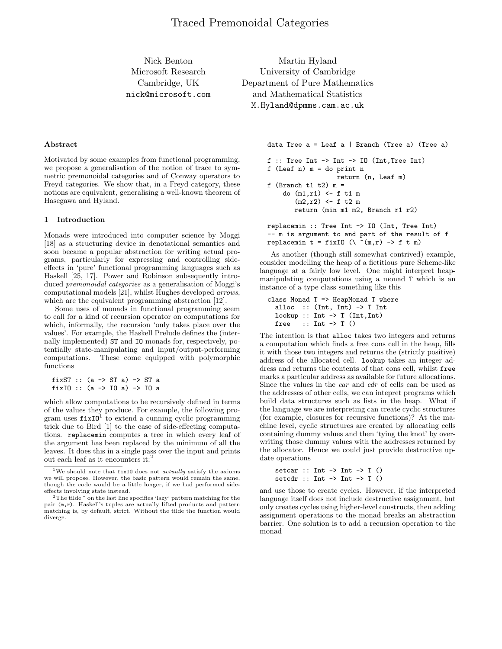Nick Benton Microsoft Research Cambridge, UK nick@microsoft.com

Martin Hyland University of Cambridge Department of Pure Mathematics and Mathematical Statistics M.Hyland@dpmms.cam.ac.uk

# **Abstract**

Motivated by some examples from functional programming, we propose a generalisation of the notion of trace to symmetric premonoidal categories and of Conway operators to Freyd categories. We show that, in a Freyd category, these notions are equivalent, generalising a well-known theorem of Hasegawa and Hyland.

## **1 Introduction**

Monads were introduced into computer science by Moggi [18] as a structuring device in denotational semantics and soon became a popular abstraction for writing actual programs, particularly for expressing and controlling sideeffects in 'pure' functional programming languages such as Haskell [25, 17]. Power and Robinson subsequently introduced premonoidal categories as a generalisation of Moggi's computational models [21], whilst Hughes developed arrows, which are the equivalent programming abstraction [12].

Some uses of monads in functional programming seem to call for a kind of recursion operator on computations for which, informally, the recursion 'only takes place over the values'. For example, the Haskell Prelude defines the (internally implemented) ST and IO monads for, respectively, potentially state-manipulating and input/output-performing computations. These come equipped with polymorphic functions

```
fixST :: (a -> ST a) -> ST a
fixIO :: (a -> IO a) -> IO a
```
which allow computations to be recursively defined in terms of the values they produce. For example, the following program uses  $fixI0^1$  to extend a cunning cyclic programming trick due to Bird [1] to the case of side-effecting computations. replacemin computes a tree in which every leaf of the argument has been replaced by the minimum of all the leaves. It does this in a single pass over the input and prints out each leaf as it encounters it:<sup>2</sup>

data Tree a = Leaf a | Branch (Tree a) (Tree a)

```
f :: Tree Int \rightarrow Int \rightarrow IO (Int, Tree Int)
f (Leaf n) m = do print n
                    return (n, Leaf m)
f (Branch t1 t2) m =
    do (m1,r1) <- f t1 m
        (m2, r2) <- f t2 m
       return (min m1 m2, Branch r1 r2)
```
replacemin :: Tree Int -> IO (Int, Tree Int) -- m is argument to and part of the result of f replacemin t = fixIO  $(\n\setminus \n\tilde{m}, r) \rightarrow f t m)$ 

As another (though still somewhat contrived) example, consider modelling the heap of a fictitious pure Scheme-like language at a fairly low level. One might interpret heapmanipulating computations using a monad T which is an instance of a type class something like this

```
class Monad T => HeapMonad T where
  alloc :: (Int, Int) \rightarrow T Int
  lookup :: Int \rightarrow T (Int, Int)
  free :: Int \rightarrow T ()
```
The intention is that alloc takes two integers and returns a computation which finds a free cons cell in the heap, fills it with those two integers and returns the (strictly positive) address of the allocated cell. lookup takes an integer address and returns the contents of that cons cell, whilst free marks a particular address as available for future allocations. Since the values in the car and cdr of cells can be used as the addresses of other cells, we can intepret programs which build data structures such as lists in the heap. What if the language we are interpreting can create cyclic structures (for example, closures for recursive functions)? At the machine level, cyclic structures are created by allocating cells containing dummy values and then 'tying the knot' by overwriting those dummy values with the addresses returned by the allocator. Hence we could just provide destructive update operations

```
setcar :: Int \rightarrow Int \rightarrow T ()
setcdr :: Int \rightarrow Int \rightarrow T ()
```
and use those to create cycles. However, if the interpreted language itself does not include destructive assignment, but only creates cycles using higher-level constructs, then adding assignment operations to the monad breaks an abstraction barrier. One solution is to add a recursion operation to the monad

<sup>&</sup>lt;sup>1</sup>We should note that  $fixI0$  does not *actually* satisfy the axioms we will propose. However, the basic pattern would remain the same, though the code would be a little longer, if we had performed sideeffects involving state instead.

<sup>&</sup>lt;sup>2</sup>The tilde  $\tilde{ }$  on the last line specifies 'lazy' pattern matching for the pair (m,r). Haskell's tuples are actually lifted products and pattern matching is, by default, strict. Without the tilde the function would diverge.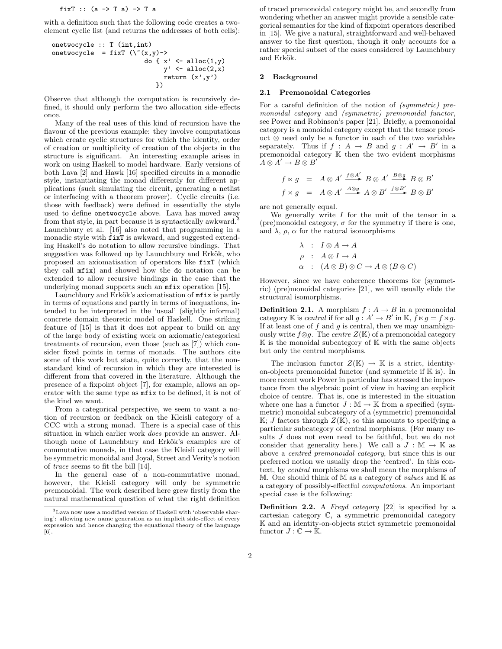fixT :: (a -> T a) -> T a

with a definition such that the following code creates a twoelement cyclic list (and returns the addresses of both cells):

```
onetwocycle :: T (int,int)
onetwocycle = fixT (\Upsilon(x,y)-)do {x' \leftarrow \text{alloc}(1, y)y' \leftarrow \text{alloc}(2, x)return (x', y')})
```
Observe that although the computation is recursively defined, it should only perform the two allocation side-effects once.

Many of the real uses of this kind of recursion have the flavour of the previous example: they involve computations which create cyclic structures for which the identity, order of creation or multiplicity of creation of the objects in the structure is significant. An interesting example arises in work on using Haskell to model hardware. Early versions of both Lava [2] and Hawk [16] specified circuits in a monadic style, instantiating the monad differently for different applications (such simulating the circuit, generating a netlist or interfacing with a theorem prover). Cyclic circuits (i.e. those with feedback) were defined in essentially the style used to define onetwocycle above. Lava has moved away from that style, in part because it is syntactically awkward.<sup>3</sup> Launchbury et al. [16] also noted that programming in a monadic style with  $fixT$  is awkward, and suggested extending Haskell's do notation to allow recursive bindings. That suggestion was followed up by Launchbury and Erkök, who proposed an axiomatisation of operators like fixT (which they call mfix) and showed how the do notation can be extended to allow recursive bindings in the case that the underlying monad supports such an mfix operation [15].

Launchbury and Erkök's axiomatisation of  $m$ fix is partly in terms of equations and partly in terms of inequations, intended to be interpreted in the 'usual' (slightly informal) concrete domain theoretic model of Haskell. One striking feature of [15] is that it does not appear to build on any of the large body of existing work on axiomatic/categorical treatments of recursion, even those (such as [7]) which consider fixed points in terms of monads. The authors cite some of this work but state, quite correctly, that the nonstandard kind of recursion in which they are interested is different from that covered in the literature. Although the presence of a fixpoint object [7], for example, allows an operator with the same type as mfix to be defined, it is not of the kind we want.

From a categorical perspective, we seem to want a notion of recursion or feedback on the Kleisli category of a CCC with a strong monad. There is a special case of this situation in which earlier work does provide an answer. Although none of Launchbury and Erkök's examples are of commutative monads, in that case the Kleisli category will be symmetric monoidal and Joyal, Street and Verity's notion of trace seems to fit the bill [14].

In the general case of a non-commutative monad, however, the Kleisli category will only be symmetric premonoidal. The work described here grew firstly from the natural mathematical question of what the right definition of traced premonoidal category might be, and secondly from wondering whether an answer might provide a sensible categorical semantics for the kind of fixpoint operators described in [15]. We give a natural, straightforward and well-behaved answer to the first question, though it only accounts for a rather special subset of the cases considered by Launchbury and Erkök.

## **2 Background**

### **2.1 Premonoidal Categories**

For a careful definition of the notion of (symmetric) premonoidal category and (symmetric) premonoidal functor, see Power and Robinson's paper [21]. Briefly, a premonoidal category is a monoidal category except that the tensor product ⊗ need only be a functor in each of the two variables separately. Thus if  $f : A \rightarrow B$  and  $g : A' \rightarrow B'$  in a premonoidal category K then the two evident morphisms  $A \otimes A' \to B \otimes B'$ 

$$
f \ltimes g = A \otimes A' \xrightarrow{f \otimes A'} B \otimes A' \xrightarrow{B \otimes g} B \otimes B'
$$
  

$$
f \rtimes g = A \otimes A' \xrightarrow{A \otimes g} A \otimes B' \xrightarrow{f \otimes B'} B \otimes B'
$$

are not generally equal.

We generally write  $I$  for the unit of the tensor in a (pre)monoidal category,  $\sigma$  for the symmetry if there is one, and  $\lambda$ ,  $\rho$ ,  $\alpha$  for the natural isomorphisms

$$
\begin{array}{rcl}\n\lambda & : & I \otimes A \to A \\
\rho & : & A \otimes I \to A \\
\alpha & : & (A \otimes B) \otimes C \to A \otimes (B \otimes C)\n\end{array}
$$

However, since we have coherence theorems for (symmetric) (pre)monoidal categories [21], we will usually elide the structural isomorphisms.

**Definition 2.1.** A morphism  $f : A \rightarrow B$  in a premonoidal category K is *central* if for all  $g : A' \to B'$  in K,  $\hat{f} \ltimes g = f \rtimes g$ .<br>If at least one of f and g is central, then we may unambigu-If at least one of f and g is central, then we may unambiguously write  $f \otimes g$ . The *centre*  $Z(\mathbb{K})$  of a premonoidal category  $\mathbb K$  is the monoidal subcategory of  $\mathbb K$  with the same objects but only the central morphisms.

The inclusion functor  $Z(\mathbb{K}) \to \mathbb{K}$  is a strict, identityon-objects premonoidal functor (and symmetric if  $K$  is). In more recent work Power in particular has stressed the importance from the algebraic point of view in having an explicit choice of centre. That is, one is interested in the situation where one has a functor  $J : \mathbb{M} \to \mathbb{K}$  from a specified (symmetric) monoidal subcategory of a (symmetric) premonoidal  $\mathbb{K}$ ; *J* factors through  $Z(\mathbb{K})$ , so this amounts to specifying a particular subcategory of central morphisms. (For many results J does not even need to be faithful, but we do not consider that generality here.) We call a  $J : \mathbb{M} \to \mathbb{K}$  as above a centred premonoidal category, but since this is our preferred notion we usually drop the 'centred'. In this context, by central morphisms we shall mean the morphisms of M. One should think of M as a category of values and  $K$  as a category of possibly-effectful computations. An important special case is the following:

**Definition 2.2.** A Freyd category [22] is specified by a cartesian category C, a symmetric premonoidal category K and an identity-on-objects strict symmetric premonoidal functor  $J: \mathbb{C} \to \mathbb{K}$ .

 $^3$  Lava now uses a modified version of Haskell with 'observable sharing': allowing new name generation as an implicit side-effect of every expression and hence changing the equational theory of the language [6].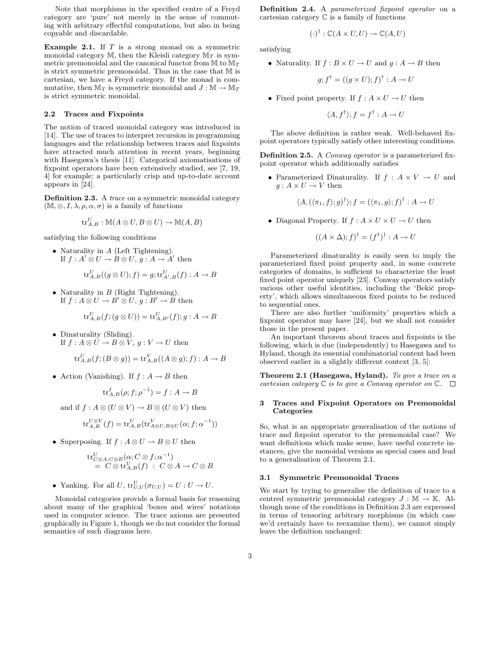Note that morphisms in the specified centre of a Freyd category are 'pure' not merely in the sense of commuting with arbitrary effectful computations, but also in being copyable and discardable.

**Example 2.1.** If T is a strong monad on a symmetric monoidal category  $M$ , then the Kleisli category  $M_T$  is symmetric premonoidal and the canonical functor from <sup>M</sup> to <sup>M</sup>*T* is strict symmetric premonoidal. Thus in the case that M is cartesian, we have a Freyd category. If the monad is commutative, then  $M_T$  is symmetric monoidal and  $J : M \to M_T$ is strict symmetric monoidal.

## **2.2 Traces and Fixpoints**

The notion of traced monoidal category was introduced in [14]. The use of traces to interpret recursion in programming languages and the relationship between traces and fixpoints have attracted much attention in recent years, beginning with Hasegawa's thesis [11]. Categorical axiomatisations of fixpoint operators have been extensively studied, see [7, 19, 4] for example; a particularly crisp and up-to-date account appears in [24].

**Definition 2.3.** A trace on a symmetric monoidal category  $(M, \otimes, I, \lambda, \rho, \alpha, \sigma)$  is a family of functions

$$
\text{tr}_{A,B}^U : \mathbb{M}(A \otimes U, B \otimes U) \to \mathbb{M}(A,B)
$$

satisfying the following conditions

• Naturality in A (Left Tightening).<br>If  $f : A' \otimes U \to B \otimes U$   $a : A \to A'$ If  $f : A' \otimes U \to B \otimes U$ ,  $g : A \to A'$  then

$$
\operatorname{tr}_{A,B}^U((g\otimes U);f)=g;\operatorname{tr}_{A',B}^U(f):A\to B
$$

• Naturality in  $B$  (Right Tightening). If  $f : A \otimes U \to B' \otimes U$ ,  $g : B' \to B$  then

$$
\operatorname{tr}_{A,B}^U(f; (g \otimes U)) = \operatorname{tr}_{A,B'}^U(f); g: A \to B
$$

• Dinaturality (Sliding). If  $f : A \otimes U \to B \otimes V$ ,  $g : V \to U$  then

$$
\mathrm{tr}^U_{A,B}(f; (B\otimes g)) = \mathrm{tr}^V_{A,B}((A\otimes g); f): A\to B
$$

• Action (Vanishing). If  $f : A \rightarrow B$  then

$$
\operatorname{tr}_{A,B}^I(\rho; f; \rho^{-1}) = f : A \to B
$$

and if  $f : A \otimes (U \otimes V) \to B \otimes (U \otimes V)$  then

$$
\operatorname{tr}_{A,B}^{U \otimes V}(f) = \operatorname{tr}_{A,B}^{U}(\operatorname{tr}_{A \otimes U,B \otimes U}^{V}(\alpha; f; \alpha^{-1}))
$$

• Superposing. If  $f : A \otimes U \to B \otimes U$  then

$$
\mathrm{tr}^U_{C\otimes A, C\otimes B}(\alpha; C\otimes f; \alpha^{-1})
$$
  
=  $C\otimes \mathrm{tr}^U_{A,B}(f) : C\otimes A \to C\otimes B$ 

• Yanking. For all  $U$ ,  $\text{tr}_{U,U}^U(\sigma_{U,U}) = U : U \to U$ .

Monoidal categories provide a formal basis for reasoning about many of the graphical 'boxes and wires' notations used in computer science. The trace axioms are presented graphically in Figure 1, though we do not consider the formal semantics of such diagrams here.

**Definition 2.4.** A parameterized fixpoint operator on a cartesian category C is a family of functions

$$
(\cdot)^{\dagger} : \mathbb{C}(A \times U, U) \to \mathbb{C}(A, U)
$$

satisfying

• Naturality. If  $f : B \times U \to U$  and  $g : A \to B$  then

$$
g; f^{\dagger} = ((g \times U); f)^{\dagger} : A \to U
$$

• Fixed point property. If  $f : A \times U \to U$  then

$$
\langle A, f^{\dagger} \rangle; f = f^{\dagger} : A \to U
$$

The above definition is rather weak. Well-behaved fixpoint operators typically satisfy other interesting conditions.

**Definition 2.5.** A *Conway operator* is a parameterized fixpoint operator which additionally satisfies

• Parameterized Dinaturality. If  $f : A \times V \to U$  and  $q: A \times U \rightarrow V$  then

$$
\langle A, (\langle \pi_1, f \rangle; g)^\dagger \rangle; f = (\langle \pi_1, g \rangle; f)^\dagger : A \to U
$$

• Diagonal Property. If  $f : A \times U \times U \rightarrow U$  then

$$
((A \times \Delta); f)^\dagger = (f^\dagger)^\dagger : A \to U
$$

Parameterized dinaturality is easily seen to imply the parameterized fixed point property and, in some concrete categories of domains, is sufficient to characterize the least fixed point operator uniquely [23]. Conway operators satisfy various other useful identities, including the 'Bekič property', which allows simultaneous fixed points to be reduced to sequential ones.

There are also further 'uniformity' properties which a fixpoint operator may have [24], but we shall not consider those in the present paper.

An important theorem about traces and fixpoints is the following, which is due (independently) to Hasegawa and to Hyland, though its essential combinatorial content had been observed earlier in a slightly different context [3, 5]:

**Theorem 2.1 (Hasegawa, Hyland).** To give a trace on a cartesian category  $\mathbb C$  is to give a Conway operator on  $\mathbb C$ .  $\Box$ 

### **3 Traces and Fixpoint Operators on Premonoidal Categories**

So, what is an appropriate generalisation of the notions of trace and fixpoint operator to the premonoidal case? We want definitions which make sense, have useful concrete instances, give the monoidal versions as special cases and lead to a generalisation of Theorem 2.1.

## **3.1 Symmetric Premonoidal Traces**

We start by trying to generalise the definition of trace to a centred symmetric premonoidal category  $J : \mathbb{M} \to \mathbb{K}$ . Although none of the conditions in Definition 2.3 are expressed in terms of tensoring arbitrary morphisms (in which case we'd certainly have to reexamine them), we cannot simply leave the definition unchanged: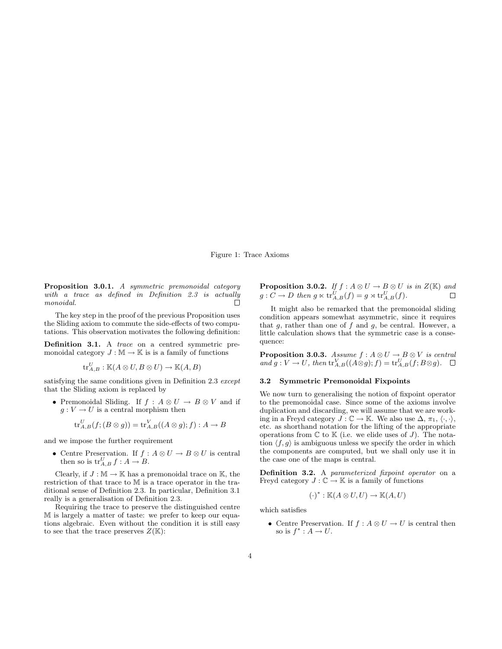Figure 1: Trace Axioms

**Proposition 3.0.1.** A symmetric premonoidal category with a trace as defined in Definition 2.3 is actually monoidal. П

The key step in the proof of the previous Proposition uses the Sliding axiom to commute the side-effects of two computations. This observation motivates the following definition:

**Definition 3.1.** A *trace* on a centred symmetric premonoidal category  $J : \mathbb{M} \to \mathbb{K}$  is a family of functions

$$
\operatorname{tr}_{A,B}^U : \mathbb{K}(A \otimes U, B \otimes U) \to \mathbb{K}(A,B)
$$

satisfying the same conditions given in Definition 2.3 except that the Sliding axiom is replaced by

• Premonoidal Sliding. If  $f : A \otimes U \to B \otimes V$  and if  $g: V \to U$  is a central morphism then

$$
\operatorname{tr}_{A,B}^U(f,(B\otimes g)) = \operatorname{tr}_{A,B}^V((A\otimes g);f): A \to B
$$

and we impose the further requirement

• Centre Preservation. If  $f : A \otimes U \to B \otimes U$  is central then so is  $\operatorname{tr}_{A,B}^U f : A \to B$ .

Clearly, if  $J : \mathbb{M} \to \mathbb{K}$  has a premonoidal trace on  $\mathbb{K}$ , the restriction of that trace to M is a trace operator in the traditional sense of Definition 2.3. In particular, Definition 3.1 really is a generalisation of Definition 2.3.

Requiring the trace to preserve the distinguished centre M is largely a matter of taste: we prefer to keep our equations algebraic. Even without the condition it is still easy to see that the trace preserves  $Z(\mathbb{K})$ :

**Proposition 3.0.2.** If  $f : A \otimes U \to B \otimes U$  is in  $Z(\mathbb{K})$  and  $g : C \to D$  then  $g \ltimes tr^U$  (f)  $g \rtimes tr^U$  (f)  $g: C \to D$  then  $g \ltimes \operatorname{tr}_{A,B}^U(f) = g \rtimes \operatorname{tr}_{A,B}^U(f)$ .

It might also be remarked that the premonoidal sliding condition appears somewhat asymmetric, since it requires that  $g$ , rather than one of  $f$  and  $g$ , be central. However, a little calculation shows that the symmetric case is a consequence:

**Proposition 3.0.3.** Assume  $f : A \otimes U \to B \otimes V$  is central<br>and  $g : V \to U$  then  ${\rm tr}^V_{Y, \mathcal{D}}((A \otimes g) \cdot f) = {\rm tr}^U_{Y, \mathcal{D}}(f \cdot B \otimes g)$ and  $g: V \to U$ , then  $\operatorname{tr}_{A,B}^V((A \otimes g); f) = \operatorname{tr}_{A,B}^U(f; B \otimes g)$ .

## **3.2 Symmetric Premonoidal Fixpoints**

We now turn to generalising the notion of fixpoint operator to the premonoidal case. Since some of the axioms involve duplication and discarding, we will assume that we are working in a Freyd category  $\overline{J} : \mathbb{C} \to \mathbb{K}$ . We also use  $\Delta, \pi_1, \langle \cdot, \cdot \rangle$ , etc. as shorthand notation for the lifting of the appropriate operations from  $\mathbb C$  to  $\mathbb K$  (i.e. we elide uses of J). The notation  $\langle f, g \rangle$  is ambiguous unless we specify the order in which the components are computed, but we shall only use it in the case one of the maps is central.

**Definition 3.2.** A parameterized fixpoint operator on a Freyd category  $J: \mathbb{C} \to \mathbb{K}$  is a family of functions

$$
(\cdot)^* : \mathbb{K}(A \otimes U, U) \to \mathbb{K}(A, U)
$$

which satisfies

• Centre Preservation. If  $f : A \otimes U \to U$  is central then so is  $f^*: A \to U$ .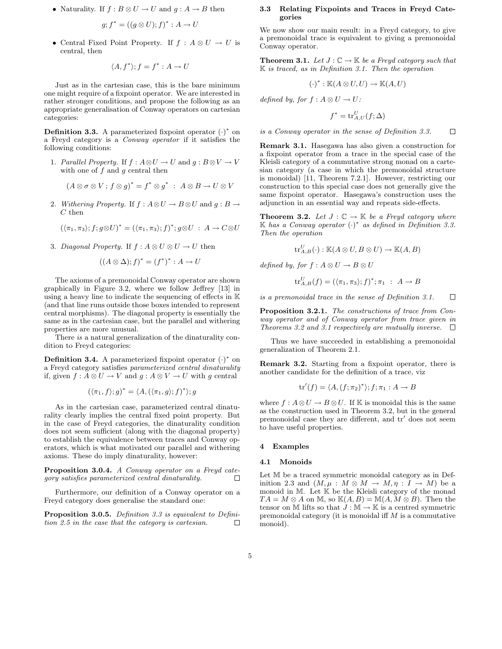• Naturality. If  $f : B \otimes U \to U$  and  $g : A \to B$  then

$$
g; f^* = ((g \otimes U); f)^* : A \to U
$$

• Central Fixed Point Property. If  $f : A \otimes U \to U$  is central, then

$$
\langle A, f^* \rangle; f = f^* : A \to U
$$

Just as in the cartesian case, this is the bare minimum one might require of a fixpoint operator. We are interested in rather stronger conditions, and propose the following as an appropriate generalisation of Conway operators on cartesian categories:

**Definition 3.3.** A parameterized fixpoint operator  $(·)$ <sup>\*</sup> on a Freyd category is a Conway operator if it satisfies the following conditions:

1. Parallel Property. If  $f : A \otimes U \to U$  and  $g : B \otimes V \to V$ with one of  $f$  and  $g$  central then

$$
(A\otimes \sigma \otimes V; f\otimes g)^* = f^* \otimes g^* \; : \; A \otimes B \to U \otimes V
$$

2. Withering Property. If  $f : A \otimes U \to B \otimes U$  and  $g : B \to$  $C$  then

$$
(\langle \pi_1, \pi_3 \rangle; f; g \otimes U)^* = (\langle \pi_1, \pi_3 \rangle; f)^*; g \otimes U : A \to C \otimes U
$$

3. Diagonal Property. If  $f : A \otimes U \otimes U \rightarrow U$  then

$$
((A \otimes \Delta); f)^* = (f^*)^* : A \to U
$$

The axioms of a premonoidal Conway operator are shown graphically in Figure 3.2, where we follow Jeffrey [13] in using a heavy line to indicate the sequencing of effects in K (and that line runs outside those boxes intended to represent central morphisms). The diagonal property is essentially the same as in the cartesian case, but the parallel and withering properties are more unusual.

There is a natural generalization of the dinaturality condition to Freyd categories:

**Definition 3.4.** A parameterized fixpoint operator  $(·)$ <sup>\*</sup> on a Freyd category satisfies parameterized central dinaturality if, given  $f: A \otimes U \to V$  and  $q: A \otimes V \to U$  with q central

$$
(\langle \pi_1, f \rangle; g)^* = \langle A, (\langle \pi_1, g \rangle; f)^* \rangle; g
$$

As in the cartesian case, parameterized central dinaturality clearly implies the central fixed point property. But in the case of Freyd categories, the dinaturality condition does not seem sufficient (along with the diagonal property) to establish the equivalence between traces and Conway operators, which is what motivated our parallel and withering axioms. These do imply dinaturality, however:

**Proposition 3.0.4.** A Conway operator on a Freyd category satisfies parameterized central dinaturality.  $\Box$ 

Furthermore, our definition of a Conway operator on a Freyd category does generalise the standard one:

**Proposition 3.0.5.** Definition 3.3 is equivalent to Definition 2.5 in the case that the category is cartesian.  $\Box$ 

## **3.3 Relating Fixpoints and Traces in Freyd Categories**

We now show our main result: in a Freyd category, to give a premonoidal trace is equivalent to giving a premonoidal Conway operator.

**Theorem 3.1.** Let  $J: \mathbb{C} \to \mathbb{K}$  be a Freyd category such that  $K$  is traced, as in Definition 3.1. Then the operation

$$
(\cdot)^* : \mathbb{K}(A \otimes U, U) \to \mathbb{K}(A, U)
$$

defined by, for  $f : A \otimes U \to U$ :

$$
f^* = \text{tr}_{A,U}^U(f; \Delta)
$$

is a Conway operator in the sense of Definition 3.3.  $\Box$ 

**Remark 3.1.** Hasegawa has also given a construction for a fixpoint operator from a trace in the special case of the Kleisli category of a commutative strong monad on a cartesian category (a case in which the premonoidal structure is monoidal) [11, Theorem 7.2.1]. However, restricting our construction to this special case does not generally give the same fixpoint operator. Hasegawa's construction uses the adjunction in an essential way and repeats side-effects.

**Theorem 3.2.** Let  $J : \mathbb{C} \to \mathbb{K}$  be a Freyd category where  $\mathbb{K}$  has a Conway operator  $(·)$ <sup>\*</sup> as defined in Definition 3.3. Then the operation

$$
\operatorname{tr}_{A,B}^U(\cdot): \mathbb{K}(A \otimes U, B \otimes U) \to \mathbb{K}(A,B)
$$

defined by, for  $f : A \otimes U \to B \otimes U$ 

$$
\operatorname{tr}_{A,B}^U(f) = (\langle \pi_1, \pi_3 \rangle; f)^*; \pi_1 : A \to B
$$

is a premonoidal trace in the sense of Definition 3.1.  $\Box$ 

**Proposition 3.2.1.** The constructions of trace from Conway operator and of Conway operator from trace given in Theorems 3.2 and 3.1 respectively are mutually inverse.  $\Box$ 

Thus we have succeeded in establishing a premonoidal generalization of Theorem 2.1.

**Remark 3.2.** Starting from a fixpoint operator, there is another candidate for the definition of a trace, viz

$$
\mathrm{tr}'(f) = \langle A, (f; \pi_2)^* \rangle; f; \pi_1 : A \to B
$$

where  $f : A \otimes U \to B \otimes U$ . If K is monoidal this is the same as the construction used in Theorem 3.2, but in the general premonoidal case they are different, and  $tr'$  does not seem to have useful properties.

## **4 Examples**

#### **4.1 Monoids**

Let M be a traced symmetric monoidal category as in Definition 2.3 and  $(M, \mu : M \otimes M \to M, \eta : I \to M)$  be a monoid in M. Let K be the Kleisli category of the monad  $TA = M \otimes A$  on M, so  $\mathbb{K}(A, B) = \mathbb{M}(A, M \otimes B)$ . Then the tensor on M lifts so that  $J : \mathbb{M} \to \mathbb{K}$  is a centred symmetric premonoidal category (it is monoidal iff  $M$  is a commutative monoid).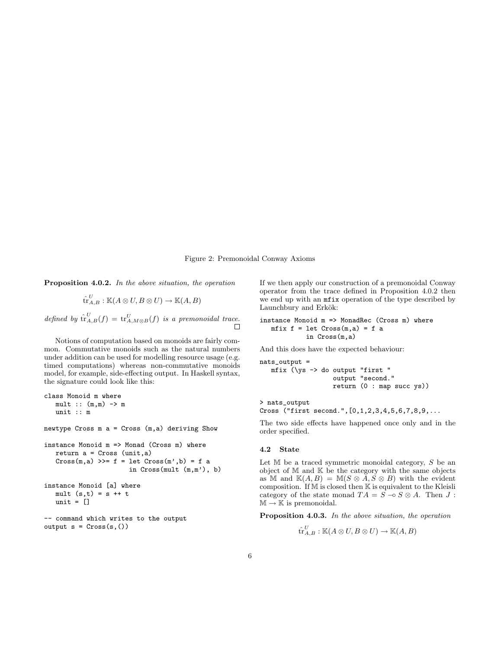Figure 2: Premonoidal Conway Axioms

**Proposition 4.0.2.** In the above situation, the operation

$$
\widehat{\operatorname{tr}}_{A,B}^U : \mathbb{K}(A \otimes U, B \otimes U) \to \mathbb{K}(A,B)
$$

defined by  $\hat{\mathrm{tr}}_{A,B}^U(f) = \mathrm{tr}_{A,M\otimes B}^U(f)$  is a premonoidal trace.

Notions of computation based on monoids are fairly common. Commutative monoids such as the natural numbers under addition can be used for modelling resource usage (e.g. timed computations) whereas non-commutative monoids model, for example, side-effecting output. In Haskell syntax, the signature could look like this:

```
class Monoid m where
   mult :: (m,m) \rightarrow munit :: m
newtype Cross m a = Cross (m,a) deriving Show
instance Monoid m => Monad (Cross m) where
   return a = Cross (unit, a)
   Cross(m, a) \gg= f = let Cross(m', b) = f ain Cross(mult (m,m'), b)
instance Monoid [a] where
   mult (s,t) = s + tunit = []-- command which writes to the output
```

```
output s = Cross(s,())
```
If we then apply our construction of a premonoidal Conway operator from the trace defined in Proposition 4.0.2 then we end up with an mfix operation of the type described by Launchbury and Erkök:

```
instance Monoid m => MonadRec (Cross m) where
  mfix f = let Cross(m,a) = f ain Cross(m,a)
```
And this does have the expected behaviour:

nats\_output =

mfix (\ys -> do output "first " output "second." return (0 : map succ ys))

> nats\_output Cross ("first second.",[0,1,2,3,4,5,6,7,8,9,...

The two side effects have happened once only and in the order specified.

## **4.2 State**

Let  $M$  be a traced symmetric monoidal category,  $S$  be an object of  $\mathbb M$  and  $\mathbb K$  be the category with the same objects as M and  $K(A, B) = M(S \otimes A, S \otimes B)$  with the evident composition. If M is closed then K is equivalent to the Kleisli category of the state monad  $TA = S - \circ S \otimes A$ . Then  $J$ :  $\mathbb{M} \to \mathbb{K}$  is premonoidal.

**Proposition 4.0.3.** In the above situation, the operation

$$
\operatorname{tr}_{A,B}^U : \mathbb{K}(A \otimes U, B \otimes U) \to \mathbb{K}(A,B)
$$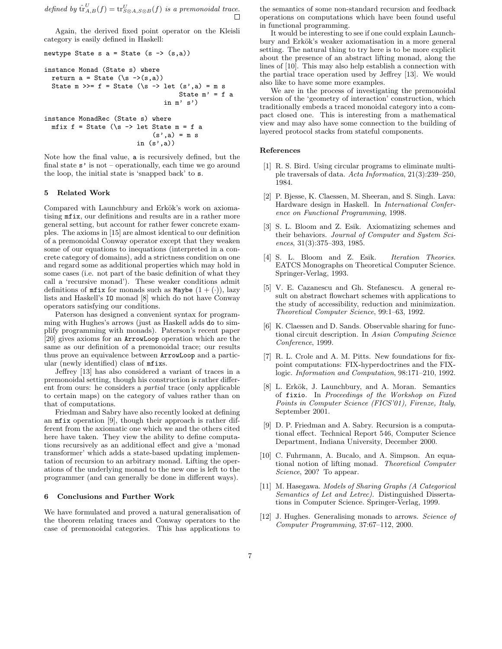defined by  $\hat{\mathrm{tr}}_{A,B}^U(f) = \mathrm{tr}_{S\otimes A, S\otimes B}^U(f)$  is a premonoidal trace.

Again, the derived fixed point operator on the Kleisli category is easily defined in Haskell:

```
newtype State s a = State (s -> (s,a))
instance Monad (State s) where
  return a = State (\succeq s \rightarrow(s,a))State m \gg f = State (\s -> let (s', a) = m sState m' = f a
                                   in m' s')
instance MonadRec (State s) where
 mfix f = State (\simeq \rightarrow let State m = f a)(s',a) = m sin (s',a))
```
Note how the final value, a is recursively defined, but the final state  $s'$  is not – operationally, each time we go around the loop, the initial state is 'snapped back' to s.

# **5 Related Work**

Compared with Launchbury and Erkök's work on axiomatising mfix, our definitions and results are in a rather more general setting, but account for rather fewer concrete examples. The axioms in [15] are almost identical to our definition of a premonoidal Conway operator except that they weaken some of our equations to inequations (interpreted in a concrete category of domains), add a strictness condition on one and regard some as additional properties which may hold in some cases (i.e. not part of the basic definition of what they call a 'recursive monad'). These weaker conditions admit definitions of  $mfix$  for monads such as Maybe  $(1 + (\cdot))$ , lazy lists and Haskell's IO monad [8] which do not have Conway operators satisfying our conditions.

Paterson has designed a convenient syntax for programming with Hughes's arrows (just as Haskell adds do to simplify programming with monads). Paterson's recent paper [20] gives axioms for an ArrowLoop operation which are the same as our definition of a premonoidal trace; our results thus prove an equivalence between ArrowLoop and a particular (newly identified) class of mfixs.

Jeffrey [13] has also considered a variant of traces in a premonoidal setting, though his construction is rather different from ours: he considers a partial trace (only applicable to certain maps) on the category of values rather than on that of computations.

Friedman and Sabry have also recently looked at defining an mfix operation [9], though their approach is rather different from the axiomatic one which we and the others cited here have taken. They view the ability to define computations recursively as an additional effect and give a 'monad transformer' which adds a state-based updating implementation of recursion to an arbitrary monad. Lifting the operations of the underlying monad to the new one is left to the programmer (and can generally be done in different ways).

## **6 Conclusions and Further Work**

We have formulated and proved a natural generalisation of the theorem relating traces and Conway operators to the case of premonoidal categories. This has applications to the semantics of some non-standard recursion and feedback operations on computations which have been found useful in functional programming.

It would be interesting to see if one could explain Launchbury and Erkök's weaker axiomatisation in a more general setting. The natural thing to try here is to be more explicit about the presence of an abstract lifting monad, along the lines of [10]. This may also help establish a connection with the partial trace operation used by Jeffrey [13]. We would also like to have some more examples.

We are in the process of investigating the premonoidal version of the 'geometry of interaction' construction, which traditionally embeds a traced monoidal category into a compact closed one. This is interesting from a mathematical view and may also have some connection to the building of layered protocol stacks from stateful components.

#### **References**

- [1] R. S. Bird. Using circular programs to eliminate multiple traversals of data. Acta Informatica, 21(3):239–250, 1984.
- [2] P. Bjesse, K. Claessen, M. Sheeran, and S. Singh. Lava: Hardware design in Haskell. In International Conference on Functional Programming, 1998.
- [3] S. L. Bloom and Z. Esik. Axiomatizing schemes and their behaviors. Journal of Computer and System Sciences, 31(3):375–393, 1985.
- [4] S. L. Bloom and Z. Esik. Iteration Theories. EATCS Monographs on Theoretical Computer Science. Springer-Verlag, 1993.
- [5] V. E. Cazanescu and Gh. Stefanescu. A general result on abstract flowchart schemes with applications to the study of accessibility, reduction and minimization. Theoretical Computer Science, 99:1–63, 1992.
- [6] K. Claessen and D. Sands. Observable sharing for functional circuit description. In Asian Computing Science Conference, 1999.
- [7] R. L. Crole and A. M. Pitts. New foundations for fixpoint computations: FIX-hyperdoctrines and the FIXlogic. Information and Computation, 98:171–210, 1992.
- [8] L. Erkök, J. Launchbury, and A. Moran. Semantics of fixio. In Proceedings of the Workshop on Fixed Points in Computer Science (FICS'01), Firenze, Italy, September 2001.
- [9] D. P. Friedman and A. Sabry. Recursion is a computational effect. Technical Report 546, Computer Science Department, Indiana University, December 2000.
- [10] C. Fuhrmann, A. Bucalo, and A. Simpson. An equational notion of lifting monad. Theoretical Computer Science, 200? To appear.
- [11] M. Hasegawa. Models of Sharing Graphs (A Categorical Semantics of Let and Letrec). Distinguished Dissertations in Computer Science. Springer-Verlag, 1999.
- [12] J. Hughes. Generalising monads to arrows. Science of Computer Programming, 37:67–112, 2000.